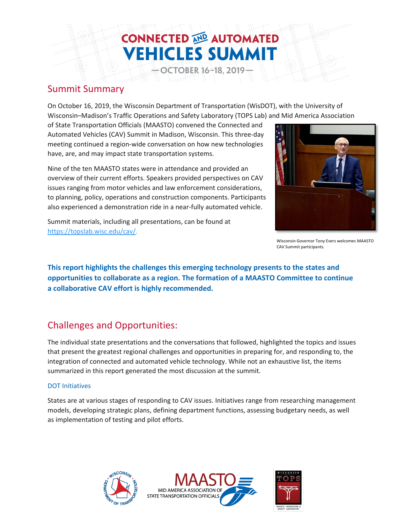# **CONNECTED AND AUTOMATED VEHICLES SUMMIT OCTOBER 16-18, 2019-**

### Summit Summary

On October 16, 2019, the Wisconsin Department of Transportation (WisDOT), with the University of Wisconsin–Madison's Traffic Operations and Safety Laboratory (TOPS Lab) and Mid America Association

of State Transportation Officials (MAASTO) convened the Connected and Automated Vehicles (CAV) Summit in Madison, Wisconsin. This three-day meeting continued a region-wide conversation on how new technologies have, are, and may impact state transportation systems.

Nine of the ten MAASTO states were in attendance and provided an overview of their current efforts. Speakers provided perspectives on CAV issues ranging from motor vehicles and law enforcement considerations, to planning, policy, operations and construction components. Participants also experienced a demonstration ride in a near-fully automated vehicle.

Summit materials, including all presentations, can be found at [https://topslab.wisc.edu/cav/.](https://topslab.wisc.edu/cav/)



Wisconsin Governor Tony Evers welcomes MAASTO CAV Summit participants.

**This report highlights the challenges this emerging technology presents to the states and opportunities to collaborate as a region. The formation of a MAASTO Committee to continue a collaborative CAV effort is highly recommended.** 

### Challenges and Opportunities:

The individual state presentations and the conversations that followed, highlighted the topics and issues that present the greatest regional challenges and opportunities in preparing for, and responding to, the integration of connected and automated vehicle technology. While not an exhaustive list, the items summarized in this report generated the most discussion at the summit.

### DOT Initiatives

States are at various stages of responding to CAV issues. Initiatives range from researching management models, developing strategic plans, defining department functions, assessing budgetary needs, as well as implementation of testing and pilot efforts.





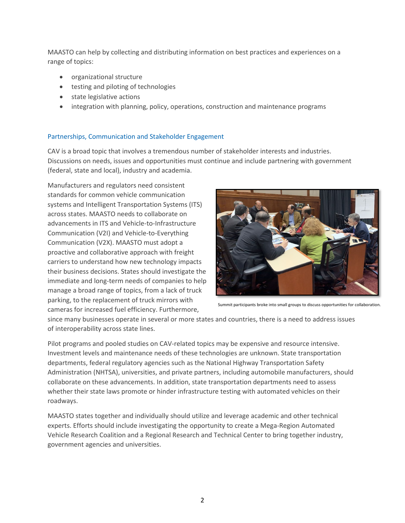MAASTO can help by collecting and distributing information on best practices and experiences on a range of topics:

- organizational structure
- testing and piloting of technologies
- state legislative actions
- integration with planning, policy, operations, construction and maintenance programs

### Partnerships, Communication and Stakeholder Engagement

CAV is a broad topic that involves a tremendous number of stakeholder interests and industries. Discussions on needs, issues and opportunities must continue and include partnering with government (federal, state and local), industry and academia.

Manufacturers and regulators need consistent standards for common vehicle communication systems and Intelligent Transportation Systems (ITS) across states. MAASTO needs to collaborate on advancements in ITS and Vehicle-to-Infrastructure Communication (V2I) and Vehicle-to-Everything Communication (V2X). MAASTO must adopt a proactive and collaborative approach with freight carriers to understand how new technology impacts their business decisions. States should investigate the immediate and long-term needs of companies to help manage a broad range of topics, from a lack of truck parking, to the replacement of truck mirrors with cameras for increased fuel efficiency. Furthermore,



Summit participants broke into small groups to discuss opportunities for collaboration.

since many businesses operate in several or more states and countries, there is a need to address issues of interoperability across state lines.

Pilot programs and pooled studies on CAV-related topics may be expensive and resource intensive. Investment levels and maintenance needs of these technologies are unknown. State transportation departments, federal regulatory agencies such as the National Highway Transportation Safety Administration (NHTSA), universities, and private partners, including automobile manufacturers, should collaborate on these advancements. In addition, state transportation departments need to assess whether their state laws promote or hinder infrastructure testing with automated vehicles on their roadways.

MAASTO states together and individually should utilize and leverage academic and other technical experts. Efforts should include investigating the opportunity to create a Mega-Region Automated Vehicle Research Coalition and a Regional Research and Technical Center to bring together industry, government agencies and universities.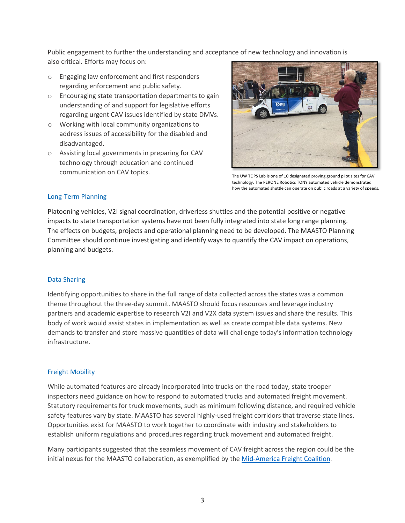Public engagement to further the understanding and acceptance of new technology and innovation is also critical. Efforts may focus on:

- o Engaging law enforcement and first responders regarding enforcement and public safety.
- o Encouraging state transportation departments to gain understanding of and support for legislative efforts regarding urgent CAV issues identified by state DMVs.
- o Working with local community organizations to address issues of accessibility for the disabled and disadvantaged.
- o Assisting local governments in preparing for CAV technology through education and continued communication on CAV topics.

![](_page_2_Picture_5.jpeg)

The UW TOPS Lab is one of 10 designated proving ground pilot sites for CAV technology. The PERONE Robotics TONY automated vehicle demonstrated how the automated shuttle can operate on public roads at a variety of speeds.

### Long-Term Planning

Platooning vehicles, V2I signal coordination, driverless shuttles and the potential positive or negative impacts to state transportation systems have not been fully integrated into state long range planning. The effects on budgets, projects and operational planning need to be developed. The MAASTO Planning Committee should continue investigating and identify ways to quantify the CAV impact on operations, planning and budgets.

### Data Sharing

Identifying opportunities to share in the full range of data collected across the states was a common theme throughout the three-day summit. MAASTO should focus resources and leverage industry partners and academic expertise to research V2I and V2X data system issues and share the results. This body of work would assist states in implementation as well as create compatible data systems. New demands to transfer and store massive quantities of data will challenge today's information technology infrastructure.

### Freight Mobility

While automated features are already incorporated into trucks on the road today, state trooper inspectors need guidance on how to respond to automated trucks and automated freight movement. Statutory requirements for truck movements, such as minimum following distance, and required vehicle safety features vary by state. MAASTO has several highly-used freight corridors that traverse state lines. Opportunities exist for MAASTO to work together to coordinate with industry and stakeholders to establish uniform regulations and procedures regarding truck movement and automated freight.

Many participants suggested that the seamless movement of CAV freight across the region could be the initial nexus for the MAASTO collaboration, as exemplified by the [Mid-America Freight Coalition.](http://midamericafreight.org/)